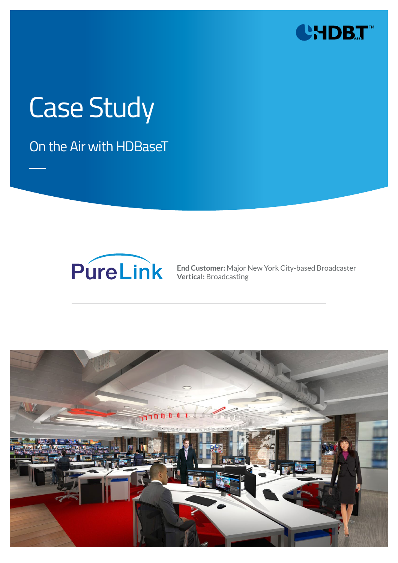

# Case Study

On the Air with HDBaseT



**End Customer:** Major New York City-based Broadcaster **Vertical:** Broadcasting